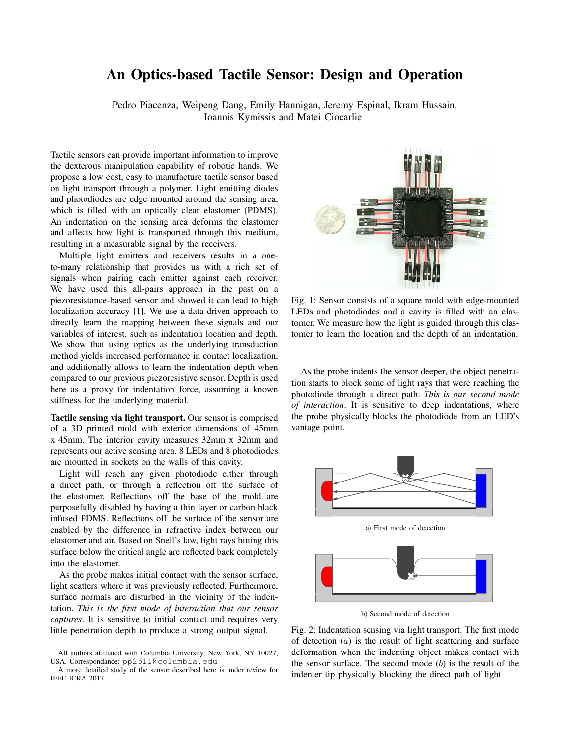## An Optics-based Tactile Sensor: Design and Operation

Pedro Piacenza, Weipeng Dang, Emily Hannigan, Jeremy Espinal, Ikram Hussain, Ioannis Kymissis and Matei Ciocarlie

Tactile sensors can provide important information to improve the dexterous manipulation capability of robotic hands. We propose a low cost, easy to manufacture tactile sensor based on light transport through a polymer. Light emitting diodes and photodiodes are edge mounted around the sensing area, which is filled with an optically clear elastomer (PDMS). An indentation on the sensing area deforms the elastomer and affects how light is transported through this medium, resulting in a measurable signal by the receivers.

Multiple light emitters and receivers results in a oneto-many relationship that provides us with a rich set of signals when pairing each emitter against each receiver. We have used this all-pairs approach in the past on a piezoresistance-based sensor and showed it can lead to high localization accuracy [1]. We use a data-driven approach to directly learn the mapping between these signals and our variables of interest, such as indentation location and depth. We show that using optics as the underlying transduction method yields increased performance in contact localization, and additionally allows to learn the indentation depth when compared to our previous piezoresistive sensor. Depth is used here as a proxy for indentation force, assuming a known stiffness for the underlying material.

Tactile sensing via light transport. Our sensor is comprised of a 3D printed mold with exterior dimensions of 45mm x 45mm. The interior cavity measures 32mm x 32mm and represents our active sensing area. 8 LEDs and 8 photodiodes are mounted in sockets on the walls of this cavity.

Light will reach any given photodiode either through a direct path, or through a reflection off the surface of the elastomer. Reflections off the base of the mold are purposefully disabled by having a thin layer or carbon black infused PDMS. Reflections off the surface of the sensor are enabled by the difference in refractive index between our elastomer and air. Based on Snell's law, light rays hitting this surface below the critical angle are reflected back completely into the elastomer.

As the probe makes initial contact with the sensor surface, light scatters where it was previously reflected. Furthermore, surface normals are disturbed in the vicinity of the indentation. *This is the first mode of interaction that our sensor captures*. It is sensitive to initial contact and requires very little penetration depth to produce a strong output signal.



Fig. 1: Sensor consists of a square mold with edge-mounted LEDs and photodiodes and a cavity is filled with an elastomer. We measure how the light is guided through this elastomer to learn the location and the depth of an indentation.

As the probe indents the sensor deeper, the object penetration starts to block some of light rays that were reaching the photodiode through a direct path. *This is our second mode of interaction*. It is sensitive to deep indentations, where the probe physically blocks the photodiode from an LED's vantage point.



b) Second mode of detection

Fig. 2: Indentation sensing via light transport. The first mode of detection  $(a)$  is the result of light scattering and surface deformation when the indenting object makes contact with the sensor surface. The second mode  $(b)$  is the result of the indenter tip physically blocking the direct path of light

All authors affiliated with Columbia University, New York, NY 10027, USA. Correspondance: pp2511@columbia.edu

A more detailed study of the sensor described here is under review for IEEE ICRA 2017.